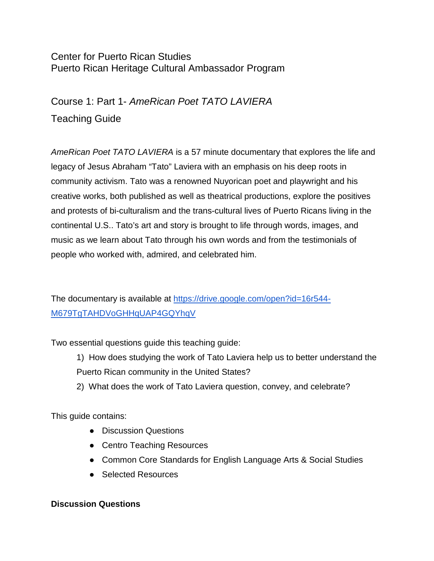# Center for Puerto Rican Studies Puerto Rican Heritage Cultural Ambassador Program

Course 1: Part 1- *AmeRican Poet TATO LAVIERA* Teaching Guide

*AmeRican Poet TATO LAVIERA* is a 57 minute documentary that explores the life and legacy of Jesus Abraham "Tato" Laviera with an emphasis on his deep roots in community activism. Tato was a renowned Nuyorican poet and playwright and his creative works, both published as well as theatrical productions, explore the positives and protests of bi-culturalism and the trans-cultural lives of Puerto Ricans living in the continental U.S.. Tato's art and story is brought to life through words, images, and music as we learn about Tato through his own words and from the testimonials of people who worked with, admired, and celebrated him.

The documentary is available at [https://drive.google.com/open?id=16r544-](https://drive.google.com/open?id=16r544-M679TgTAHDVoGHHqUAP4GQYhqV) [M679TgTAHDVoGHHqUAP4GQYhqV](https://drive.google.com/open?id=16r544-M679TgTAHDVoGHHqUAP4GQYhqV)

Two essential questions guide this teaching guide:

1) How does studying the work of Tato Laviera help us to better understand the Puerto Rican community in the United States?

2) What does the work of Tato Laviera question, convey, and celebrate?

This guide contains:

- Discussion Questions
- Centro Teaching Resources
- Common Core Standards for English Language Arts & Social Studies
- Selected Resources

#### **Discussion Questions**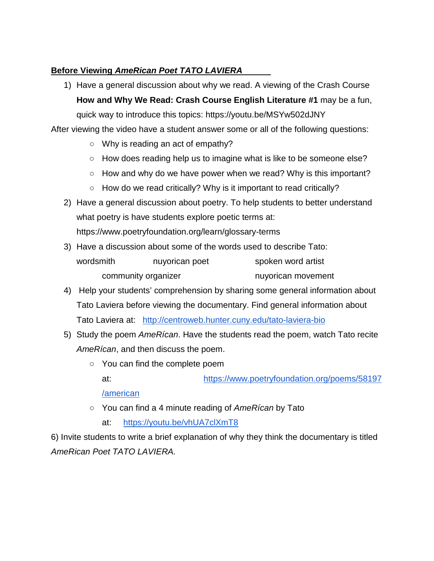## **Before Viewing** *AmeRican Poet TATO LAVIERA*

1) Have a general discussion about why we read. A viewing of the Crash Course **How and Why We Read: Crash Course English Literature #1** may be a fun, quick way to introduce this topics: https://youtu.be/MSYw502dJNY

After viewing the video have a student answer some or all of the following questions:

- Why is reading an act of empathy?
- How does reading help us to imagine what is like to be someone else?
- How and why do we have power when we read? Why is this important?
- $\circ$  How do we read critically? Why is it important to read critically?
- 2) Have a general discussion about poetry. To help students to better understand what poetry is have students explore poetic terms at: https://www.poetryfoundation.org/learn/glossary-terms
- 3) Have a discussion about some of the words used to describe Tato: wordsmith muyorican poet spoken word artist community organizer example and the nuyorican movement
- 4) Help your students' comprehension by sharing some general information about Tato Laviera before viewing the documentary. Find general information about Tato Laviera at: <http://centroweb.hunter.cuny.edu/tato-laviera-bio>
- 5) Study the poem *AmeRícan*. Have the students read the poem, watch Tato recite *AmeRícan*, and then discuss the poem.
	- You can find the complete poem
		- at: [https://www.poetryfoundation.org/poems/58197](https://www.poetryfoundation.org/poems/58197/american)

[/american](https://www.poetryfoundation.org/poems/58197/american)

- You can find a 4 minute reading of *AmeRícan* by Tato
	- at: <https://youtu.be/vhUA7clXmT8>

6) Invite students to write a brief explanation of why they think the documentary is titled *AmeRican Poet TATO LAVIERA.*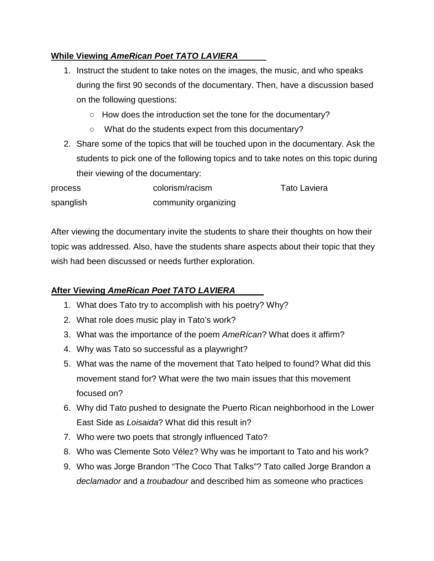## **While Viewing** *AmeRican Poet TATO LAVIERA*

- 1. Instruct the student to take notes on the images, the music, and who speaks during the first 90 seconds of the documentary. Then, have a discussion based on the following questions:
	- How does the introduction set the tone for the documentary?
	- What do the students expect from this documentary?
- 2. Share some of the topics that will be touched upon in the documentary. Ask the students to pick one of the following topics and to take notes on this topic during their viewing of the documentary:

| process   | colorism/racism      | <b>Tato Laviera</b> |
|-----------|----------------------|---------------------|
| spanglish | community organizing |                     |

After viewing the documentary invite the students to share their thoughts on how their topic was addressed. Also, have the students share aspects about their topic that they wish had been discussed or needs further exploration.

## **After Viewing** *AmeRican Poet TATO LAVIERA*

- 1. What does Tato try to accomplish with his poetry? Why?
- 2. What role does music play in Tato's work?
- 3. What was the importance of the poem *AmeRícan*? What does it affirm?
- 4. Why was Tato so successful as a playwright?
- 5. What was the name of the movement that Tato helped to found? What did this movement stand for? What were the two main issues that this movement focused on?
- 6. Why did Tato pushed to designate the Puerto Rican neighborhood in the Lower East Side as *Loisaida*? What did this result in?
- 7. Who were two poets that strongly influenced Tato?
- 8. Who was Clemente Soto Vélez? Why was he important to Tato and his work?
- 9. Who was Jorge Brandon "The Coco That Talks"? Tato called Jorge Brandon a *declamador* and a *troubadour* and described him as someone who practices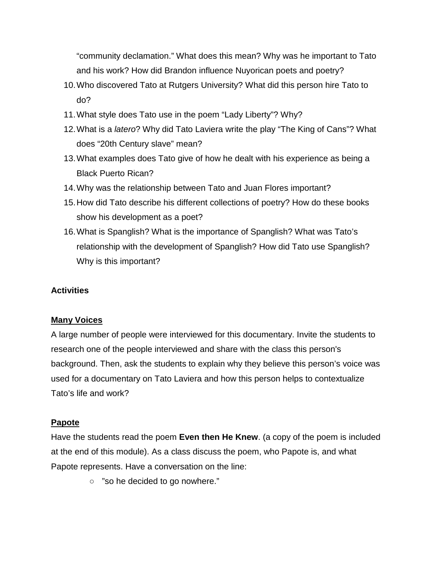"community declamation." What does this mean? Why was he important to Tato and his work? How did Brandon influence Nuyorican poets and poetry?

- 10.Who discovered Tato at Rutgers University? What did this person hire Tato to do?
- 11.What style does Tato use in the poem "Lady Liberty"? Why?
- 12.What is a *latero*? Why did Tato Laviera write the play "The King of Cans"? What does "20th Century slave" mean?
- 13.What examples does Tato give of how he dealt with his experience as being a Black Puerto Rican?
- 14.Why was the relationship between Tato and Juan Flores important?
- 15.How did Tato describe his different collections of poetry? How do these books show his development as a poet?
- 16.What is Spanglish? What is the importance of Spanglish? What was Tato's relationship with the development of Spanglish? How did Tato use Spanglish? Why is this important?

#### **Activities**

#### **Many Voices**

A large number of people were interviewed for this documentary. Invite the students to research one of the people interviewed and share with the class this person's background. Then, ask the students to explain why they believe this person's voice was used for a documentary on Tato Laviera and how this person helps to contextualize Tato's life and work?

#### **Papote**

Have the students read the poem **Even then He Knew**. (a copy of the poem is included at the end of this module). As a class discuss the poem, who Papote is, and what Papote represents. Have a conversation on the line:

○ "so he decided to go nowhere."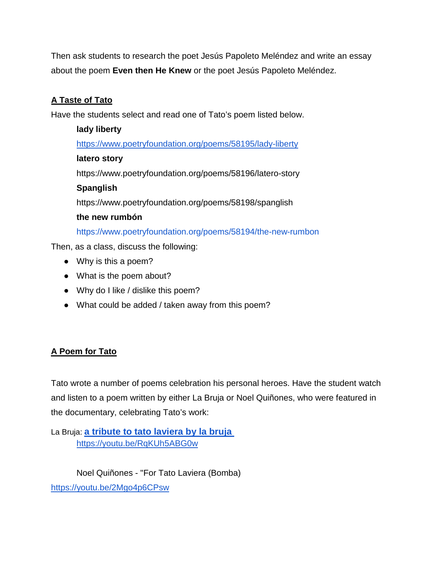Then ask students to research the poet Jesús Papoleto Meléndez and write an essay about the poem **Even then He Knew** or the poet Jesús Papoleto Meléndez.

# **A Taste of Tato**

Have the students select and read one of Tato's poem listed below.

# **lady liberty** <https://www.poetryfoundation.org/poems/58195/lady-liberty> **latero story** https://www.poetryfoundation.org/poems/58196/latero-story **Spanglish** https://www.poetryfoundation.org/poems/58198/spanglish **the new rumbón** <https://www.poetryfoundation.org/poems/58194/the-new-rumbon> Then, as a class, discuss the following:

- Why is this a poem?
- What is the poem about?
- Why do I like / dislike this poem?
- What could be added / taken away from this poem?

## **A Poem for Tato**

Tato wrote a number of poems celebration his personal heroes. Have the student watch and listen to a poem written by either La Bruja or Noel Quiñones, who were featured in the documentary, celebrating Tato's work:

La Bruja: **[a tribute to tato laviera by la bruja](https://www.youtube.com/watch?v=RqKUh5ABG0w)**  <https://youtu.be/RqKUh5ABG0w>

Noel Quiñones - "For Tato Laviera (Bomba)

<https://youtu.be/2Mgo4p6CPsw>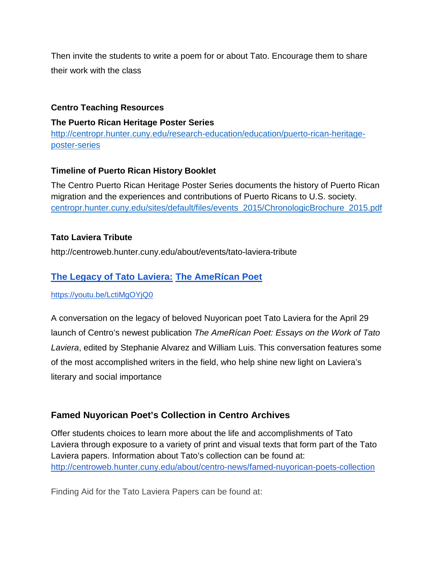Then invite the students to write a poem for or about Tato. Encourage them to share their work with the class

## **Centro Teaching Resources**

#### **The Puerto Rican Heritage Poster Series**

[http://centropr.hunter.cuny.edu/research-education/education/puerto-rican-heritage](http://centropr.hunter.cuny.edu/research-education/education/puerto-rican-heritage-poster-series)[poster-series](http://centropr.hunter.cuny.edu/research-education/education/puerto-rican-heritage-poster-series)

#### **Timeline of Puerto Rican History Booklet**

The Centro Puerto Rican Heritage Poster Series documents the history of Puerto Rican migration and the experiences and contributions of Puerto Ricans to U.S. society. [centropr.hunter.cuny.edu/sites/default/files/events\\_2015/ChronologicBrochure\\_2015.pdf](http://centropr.hunter.cuny.edu/sites/default/files/events_2015/ChronologicBrochure_2015.pdf)

#### **Tato Laviera Tribute**

http://centroweb.hunter.cuny.edu/about/events/tato-laviera-tribut[e](http://centroweb.hunter.cuny.edu/about/events/legacy-tato-laviera)

# **[The Legacy of Tato Laviera:](http://centroweb.hunter.cuny.edu/about/centro-news/famed-nuyorican-poets-collection) [The AmeRícan Poet](http://centroweb.hunter.cuny.edu/about/centro-news/famed-nuyorican-poets-collection)**

<https://youtu.be/LctiMgOYjQ0>

[A conversation on the legacy of beloved Nuyorican poet Tato Laviera for the April 29](http://centroweb.hunter.cuny.edu/about/centro-news/famed-nuyorican-poets-collection)  [launch of Centro's newest publication](http://centroweb.hunter.cuny.edu/about/centro-news/famed-nuyorican-poets-collection) *[The AmeRícan Poet: Essays on the Work of Tato](http://centroweb.hunter.cuny.edu/about/centro-news/famed-nuyorican-poets-collection)  [Laviera](http://centroweb.hunter.cuny.edu/about/centro-news/famed-nuyorican-poets-collection)*[, edited by Stephanie Alvarez and William Luis. This conversation features some](http://centroweb.hunter.cuny.edu/about/centro-news/famed-nuyorican-poets-collection)  [of the most accomplished writers in the field, who](http://centroweb.hunter.cuny.edu/about/centro-news/famed-nuyorican-poets-collection) help shine new light on Laviera's [literary and social importance](http://centroweb.hunter.cuny.edu/about/centro-news/famed-nuyorican-poets-collection)

## **Famed Nuyorican Poet's Collection in Centro Archives**

Offer students choices to learn more about the life and accomplishments of Tato Laviera through exposure to a variety of print and visual texts that form part of the Tato Laviera papers. Information about Tato's collection can be found at: <http://centroweb.hunter.cuny.edu/about/centro-news/famed-nuyorican-poets-collection>

Finding Aid for the Tato Laviera Papers can be found at: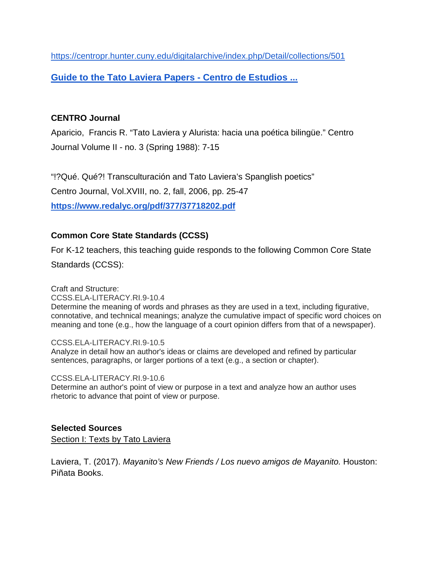<https://centropr.hunter.cuny.edu/digitalarchive/index.php/Detail/collections/501>

**[Guide to the Tato Laviera Papers -](https://centropr.hunter.cuny.edu/sites/default/files/faids/pdf/Laviera%2C%20Tato%20Dec%202015.pdf) Centro de Estudios ...**

## **CENTRO Journal**

Aparicio, Francis R. "Tato Laviera y Alurista: hacia una poética bilingüe." Centro Journal Volume II - no. 3 (Spring 1988): 7-15

"!?Qué. Qué?! Transculturación and Tato Laviera's Spanglish poetics" Centro Journal, Vol.XVIII, no. 2, fall, 2006, pp. 25-47 **<https://www.redalyc.org/pdf/377/37718202.pdf>**

## **Common Core State Standards (CCSS)**

For K-12 teachers, this teaching guide responds to the following Common Core State Standards (CCSS):

Craft and Structure: [CCSS.ELA-LITERACY.RI.9-10.4](http://www.corestandards.org/ELA-Literacy/RI/9-10/4/) Determine the meaning of words and phrases as they are used in a text, including figurative, connotative, and technical meanings; analyze the cumulative impact of specific word choices on meaning and tone (e.g., how the language of a court opinion differs from that of a newspaper).

[CCSS.ELA-LITERACY.RI.9-10.5](http://www.corestandards.org/ELA-Literacy/RI/9-10/5/) Analyze in detail how an author's ideas or claims are developed and refined by particular sentences, paragraphs, or larger portions of a text (e.g., a section or chapter).

[CCSS.ELA-LITERACY.RI.9-10.6](http://www.corestandards.org/ELA-Literacy/RI/9-10/6/) Determine an author's point of view or purpose in a text and analyze how an author uses rhetoric to advance that point of view or purpose.

## **Selected Sources**

Section I: Texts by Tato Laviera

Laviera, T. (2017). *Mayanito's New Friends / Los nuevo amigos de Mayanito.* Houston: Piñata Books.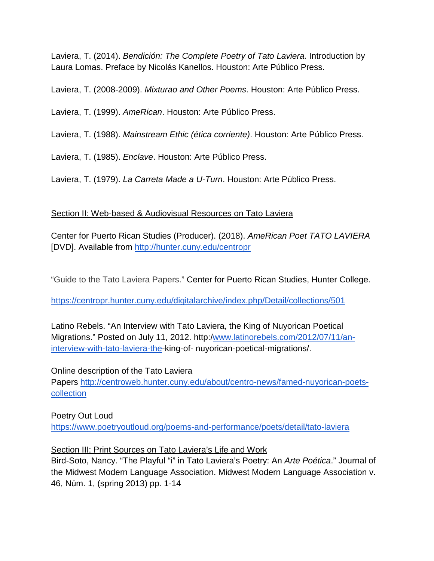Laviera, T. (2014). *Bendición: The Complete Poetry of Tato Laviera.* Introduction by Laura Lomas. Preface by Nicolás Kanellos. Houston: Arte Público Press.

Laviera, T. (2008-2009). *Mixturao and Other Poems*. Houston: Arte Público Press.

Laviera, T. (1999). *AmeRican*. Houston: Arte Público Press.

Laviera, T. (1988). *Mainstream Ethic (ética corriente)*. Houston: Arte Público Press.

Laviera, T. (1985). *Enclave*. Houston: Arte Público Press.

Laviera, T. (1979). *La Carreta Made a U-Turn*. Houston: Arte Público Press.

#### Section II: Web-based & Audiovisual Resources on Tato Laviera

Center for Puerto Rican Studies (Producer). (2018). *AmeRican Poet TATO LAVIERA*  [DVD]. Available fro[m](http://hunter.cuny.edu/centropr) <http://hunter.cuny.edu/centropr>

"Guide to the Tato Laviera Papers." Center for Puerto Rican Studies, Hunter College.

<https://centropr.hunter.cuny.edu/digitalarchive/index.php/Detail/collections/501>

Latino Rebels. "An Interview with Tato Laviera, the King of Nuyorican Poetical Migrations." Posted on July 11, 2012. http:[/www.latinorebels.com/2012/07/11/an](http://www.latinorebels.com/2012/07/11/an-interview-with-Tato-laviera-the)[interview-with-tato-laviera-the-](http://www.latinorebels.com/2012/07/11/an-interview-with-Tato-laviera-the)king-of- nuyorican-poetical-migrations/.

Online description of the Tato Laviera

Papers [http://centroweb.hunter.cuny.edu/about/centro-news/famed-nuyorican-poets](http://centroweb.hunter.cuny.edu/about/centro-news/famed-nuyorican-poets-collection)[collection](http://centroweb.hunter.cuny.edu/about/centro-news/famed-nuyorican-poets-collection)

# Poetry Out Loud <https://www.poetryoutloud.org/poems-and-performance/poets/detail/tato-laviera>

#### Section III: Print Sources on Tato Laviera's Life and Work

Bird-Soto, Nancy. "The Playful "i" in Tato Laviera's Poetry: An *Arte Poética*." Journal of the Midwest Modern Language Association. Midwest Modern Language Association v. 46, Núm. 1, (spring 2013) pp. 1-14